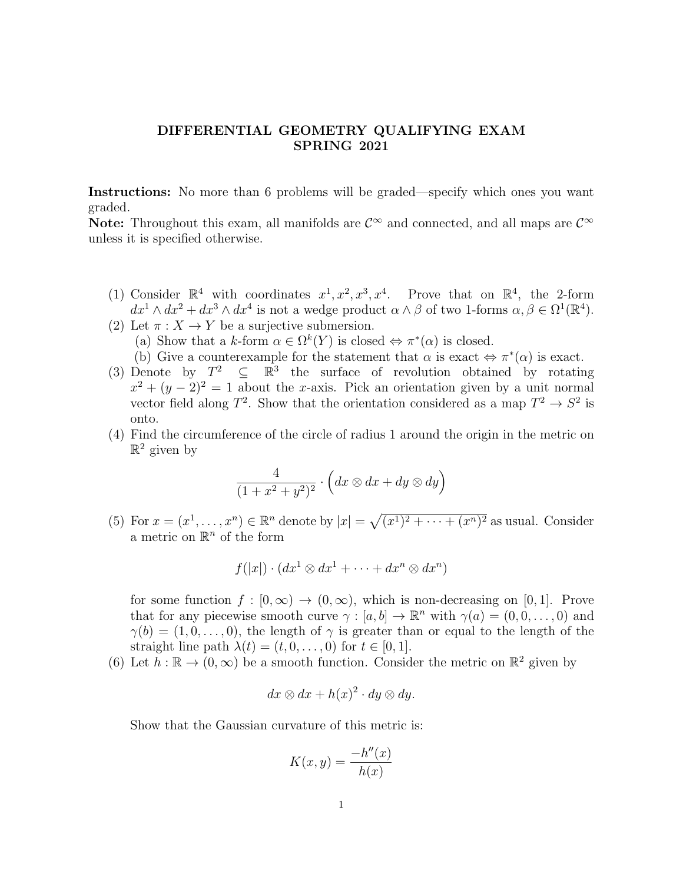## DIFFERENTIAL GEOMETRY QUALIFYING EXAM SPRING 2021

Instructions: No more than 6 problems will be graded—specify which ones you want graded.

Note: Throughout this exam, all manifolds are  $\mathcal{C}^{\infty}$  and connected, and all maps are  $\mathcal{C}^{\infty}$ unless it is specified otherwise.

- (1) Consider  $\mathbb{R}^4$  with coordinates  $x^1, x^2, x^3, x^4$ . Prove that on  $\mathbb{R}^4$ , the 2-form  $dx^1 \wedge dx^2 + dx^3 \wedge dx^4$  is not a wedge product  $\alpha \wedge \beta$  of two 1-forms  $\alpha, \beta \in \Omega^1(\mathbb{R}^4)$ .
- (2) Let  $\pi: X \to Y$  be a surjective submersion.
	- (a) Show that a k-form  $\alpha \in \Omega^k(Y)$  is closed  $\Leftrightarrow \pi^*(\alpha)$  is closed.
	- (b) Give a counterexample for the statement that  $\alpha$  is exact  $\Leftrightarrow \pi^*(\alpha)$  is exact.
- (3) Denote by  $T^2 \subseteq \mathbb{R}^3$  the surface of revolution obtained by rotating  $x^2 + (y - 2)^2 = 1$  about the x-axis. Pick an orientation given by a unit normal vector field along  $T^2$ . Show that the orientation considered as a map  $T^2 \to S^2$  is onto.
- (4) Find the circumference of the circle of radius 1 around the origin in the metric on  $\mathbb{R}^2$  given by

$$
\frac{4}{(1+x^2+y^2)^2} \cdot \left(dx \otimes dx + dy \otimes dy\right)
$$

(5) For  $x = (x^1, \ldots, x^n) \in \mathbb{R}^n$  denote by  $|x| = \sqrt{(x^1)^2 + \cdots + (x^n)^2}$  as usual. Consider a metric on  $\mathbb{R}^n$  of the form

$$
f(|x|) \cdot (dx^1 \otimes dx^1 + \cdots + dx^n \otimes dx^n)
$$

for some function  $f : [0, \infty) \to (0, \infty)$ , which is non-decreasing on [0,1]. Prove that for any piecewise smooth curve  $\gamma : [a, b] \to \mathbb{R}^n$  with  $\gamma(a) = (0, 0, \ldots, 0)$  and  $\gamma(b) = (1, 0, \ldots, 0)$ , the length of  $\gamma$  is greater than or equal to the length of the straight line path  $\lambda(t) = (t, 0, \ldots, 0)$  for  $t \in [0, 1]$ .

(6) Let  $h: \mathbb{R} \to (0, \infty)$  be a smooth function. Consider the metric on  $\mathbb{R}^2$  given by

$$
dx \otimes dx + h(x)^2 \cdot dy \otimes dy.
$$

Show that the Gaussian curvature of this metric is:

$$
K(x, y) = \frac{-h''(x)}{h(x)}
$$